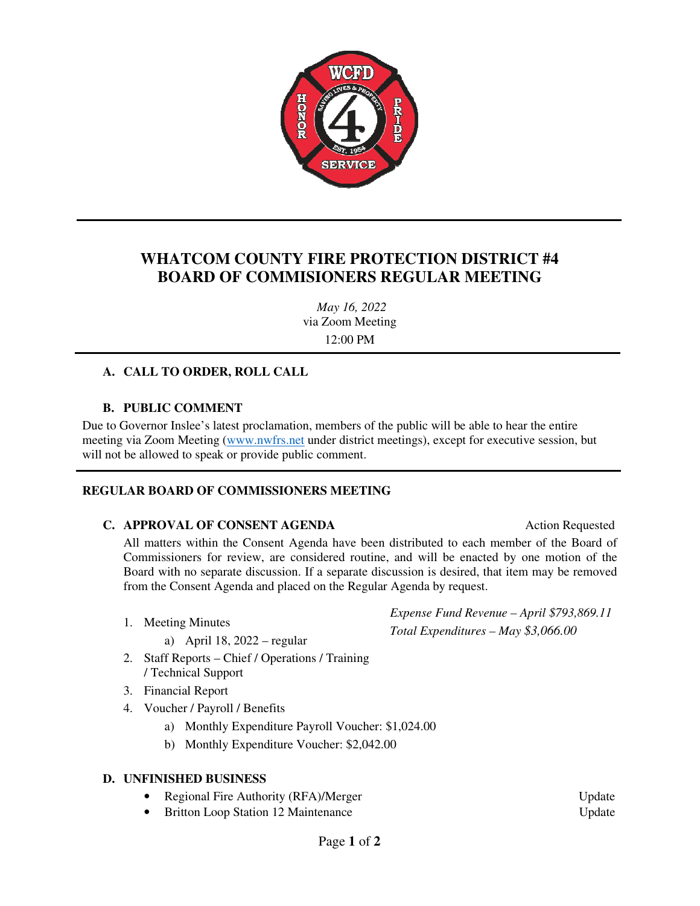

## **WHATCOM COUNTY FIRE PROTECTION DISTRICT #4 BOARD OF COMMISIONERS REGULAR MEETING**

*May 16, 2022*  via Zoom Meeting 12:00 PM

### **A. CALL TO ORDER, ROLL CALL**

### **B. PUBLIC COMMENT**

Due to Governor Inslee's latest proclamation, members of the public will be able to hear the entire meeting via Zoom Meeting (www.nwfrs.net under district meetings), except for executive session, but will not be allowed to speak or provide public comment.

### **REGULAR BOARD OF COMMISSIONERS MEETING**

#### **C. APPROVAL OF CONSENT AGENDA** Action Requested

All matters within the Consent Agenda have been distributed to each member of the Board of Commissioners for review, are considered routine, and will be enacted by one motion of the Board with no separate discussion. If a separate discussion is desired, that item may be removed from the Consent Agenda and placed on the Regular Agenda by request.

- 1. Meeting Minutes
	- a) April 18, 2022 regular
- 2. Staff Reports Chief / Operations / Training / Technical Support
- 3. Financial Report
- 4. Voucher / Payroll / Benefits
	- a) Monthly Expenditure Payroll Voucher: \$1,024.00
	- b) Monthly Expenditure Voucher: \$2,042.00

#### **D. UNFINISHED BUSINESS**

- **Regional Fire Authority (RFA)/Merger Update** Update
- Britton Loop Station 12 Maintenance Update

*Expense Fund Revenue – April \$793,869.11 Total Expenditures – May \$3,066.00*